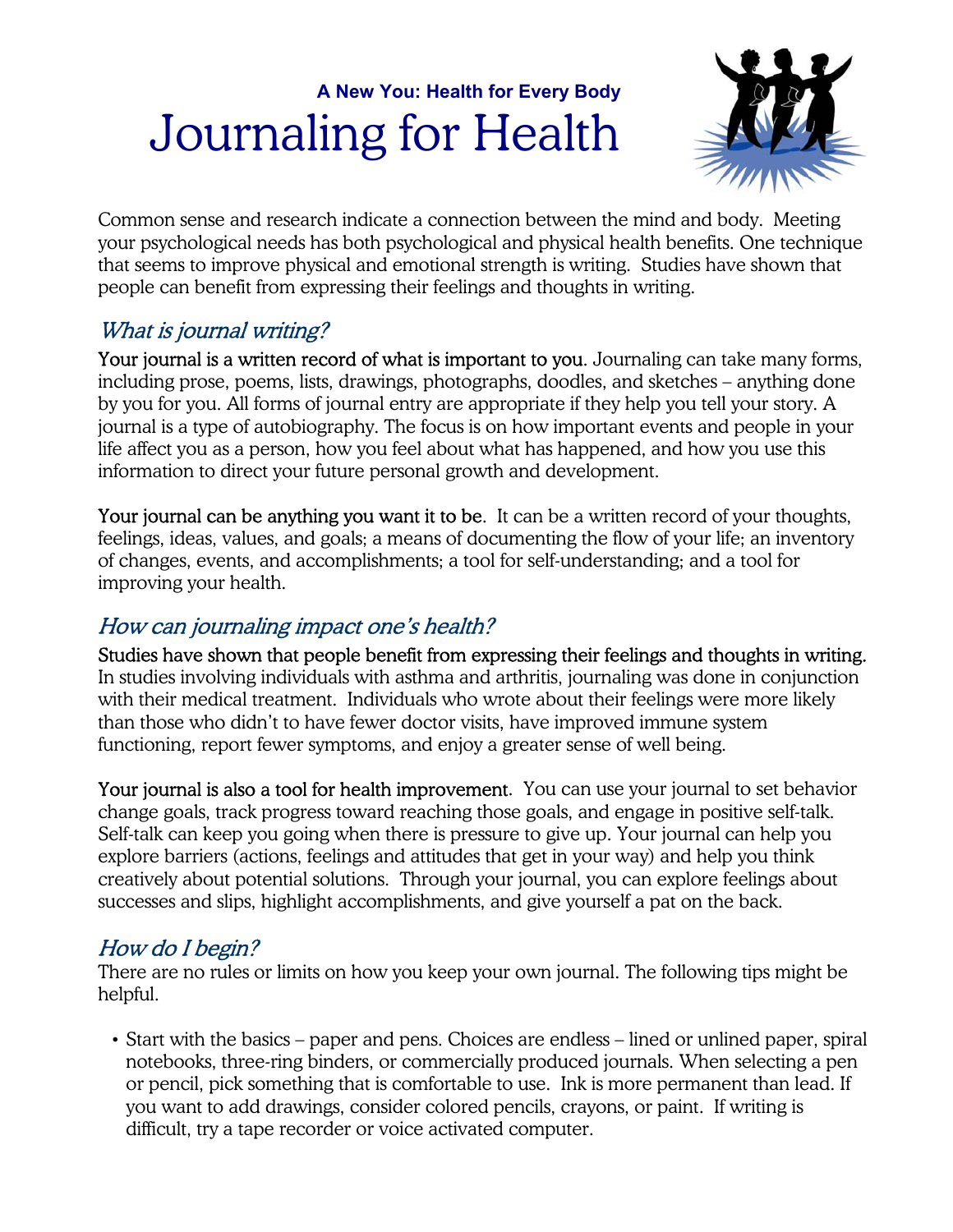# **A New You: Health for Every Body** Journaling for Health



Common sense and research indicate a connection between the mind and body. Meeting your psychological needs has both psychological and physical health benefits. One technique that seems to improve physical and emotional strength is writing. Studies have shown that people can benefit from expressing their feelings and thoughts in writing.

## What is journal writing?

Your journal is a written record of what is important to you. Journaling can take many forms, including prose, poems, lists, drawings, photographs, doodles, and sketches – anything done by you for you. All forms of journal entry are appropriate if they help you tell your story. A journal is a type of autobiography. The focus is on how important events and people in your life affect you as a person, how you feel about what has happened, and how you use this information to direct your future personal growth and development.

Your journal can be anything you want it to be. It can be a written record of your thoughts, feelings, ideas, values, and goals; a means of documenting the flow of your life; an inventory of changes, events, and accomplishments; a tool for self-understanding; and a tool for improving your health.

#### How can journaling impact one's health?

Studies have shown that people benefit from expressing their feelings and thoughts in writing. In studies involving individuals with asthma and arthritis, journaling was done in conjunction with their medical treatment. Individuals who wrote about their feelings were more likely than those who didn't to have fewer doctor visits, have improved immune system functioning, report fewer symptoms, and enjoy a greater sense of well being.

**Your journal is also a tool for health improvement**. You can use your journal to set behavior change goals, track progress toward reaching those goals, and engage in positive self-talk. Self-talk can keep you going when there is pressure to give up. Your journal can help you explore barriers (actions, feelings and attitudes that get in your way) and help you think creatively about potential solutions. Through your journal, you can explore feelings about successes and slips, highlight accomplishments, and give yourself a pat on the back.

### How do I begin?

There are no rules or limits on how you keep your own journal. The following tips might be helpful.

• Start with the basics – paper and pens. Choices are endless – lined or unlined paper, spiral notebooks, three-ring binders, or commercially produced journals. When selecting a pen or pencil, pick something that is comfortable to use. Ink is more permanent than lead. If you want to add drawings, consider colored pencils, crayons, or paint. If writing is difficult, try a tape recorder or voice activated computer.